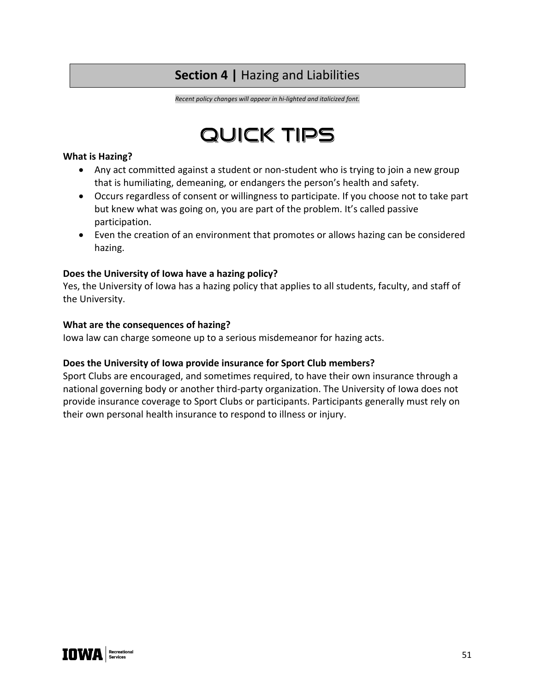## **Section 4 |** Hazing and Liabilities

*Recent policy changes will appear in hi-lighted and italicized font.*

# QUICK TIPS

#### **What is Hazing?**

- Any act committed against a student or non-student who is trying to join a new group that is humiliating, demeaning, or endangers the person's health and safety.
- Occurs regardless of consent or willingness to participate. If you choose not to take part but knew what was going on, you are part of the problem. It's called passive participation.
- Even the creation of an environment that promotes or allows hazing can be considered hazing.

#### **Does the University of Iowa have a hazing policy?**

Yes, the University of Iowa has a hazing policy that applies to all students, faculty, and staff of the University.

#### **What are the consequences of hazing?**

Iowa law can charge someone up to a serious misdemeanor for hazing acts.

#### **Does the University of Iowa provide insurance for Sport Club members?**

Sport Clubs are encouraged, and sometimes required, to have their own insurance through a national governing body or another third-party organization. The University of Iowa does not provide insurance coverage to Sport Clubs or participants. Participants generally must rely on their own personal health insurance to respond to illness or injury.

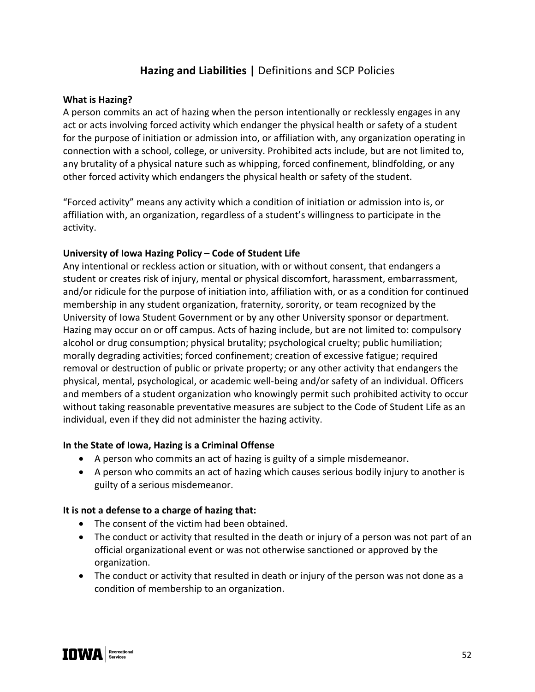## **Hazing and Liabilities |** Definitions and SCP Policies

#### **What is Hazing?**

A person commits an act of hazing when the person intentionally or recklessly engages in any act or acts involving forced activity which endanger the physical health or safety of a student for the purpose of initiation or admission into, or affiliation with, any organization operating in connection with a school, college, or university. Prohibited acts include, but are not limited to, any brutality of a physical nature such as whipping, forced confinement, blindfolding, or any other forced activity which endangers the physical health or safety of the student.

"Forced activity" means any activity which a condition of initiation or admission into is, or affiliation with, an organization, regardless of a student's willingness to participate in the activity.

#### **University of Iowa Hazing Policy – Code of Student Life**

Any intentional or reckless action or situation, with or without consent, that endangers a student or creates risk of injury, mental or physical discomfort, harassment, embarrassment, and/or ridicule for the purpose of initiation into, affiliation with, or as a condition for continued membership in any student organization, fraternity, sorority, or team recognized by the University of Iowa Student Government or by any other University sponsor or department. Hazing may occur on or off campus. Acts of hazing include, but are not limited to: compulsory alcohol or drug consumption; physical brutality; psychological cruelty; public humiliation; morally degrading activities; forced confinement; creation of excessive fatigue; required removal or destruction of public or private property; or any other activity that endangers the physical, mental, psychological, or academic well-being and/or safety of an individual. Officers and members of a student organization who knowingly permit such prohibited activity to occur without taking reasonable preventative measures are subject to the Code of Student Life as an individual, even if they did not administer the hazing activity.

#### **In the State of Iowa, Hazing is a Criminal Offense**

- A person who commits an act of hazing is guilty of a simple misdemeanor.
- A person who commits an act of hazing which causes serious bodily injury to another is guilty of a serious misdemeanor.

#### **It is not a defense to a charge of hazing that:**

- The consent of the victim had been obtained.
- The conduct or activity that resulted in the death or injury of a person was not part of an official organizational event or was not otherwise sanctioned or approved by the organization.
- The conduct or activity that resulted in death or injury of the person was not done as a condition of membership to an organization.

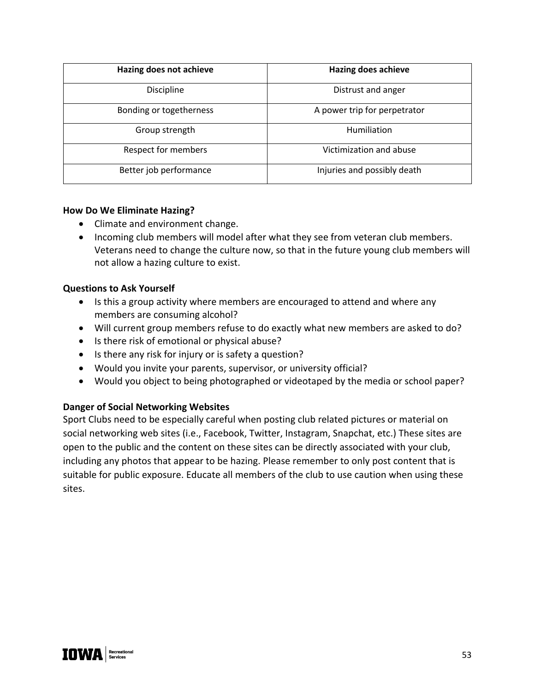| Hazing does not achieve | <b>Hazing does achieve</b>   |
|-------------------------|------------------------------|
| Discipline              | Distrust and anger           |
| Bonding or togetherness | A power trip for perpetrator |
| Group strength          | <b>Humiliation</b>           |
| Respect for members     | Victimization and abuse      |
| Better job performance  | Injuries and possibly death  |

#### **How Do We Eliminate Hazing?**

- Climate and environment change.
- Incoming club members will model after what they see from veteran club members. Veterans need to change the culture now, so that in the future young club members will not allow a hazing culture to exist.

#### **Questions to Ask Yourself**

- Is this a group activity where members are encouraged to attend and where any members are consuming alcohol?
- Will current group members refuse to do exactly what new members are asked to do?
- Is there risk of emotional or physical abuse?
- Is there any risk for injury or is safety a question?
- Would you invite your parents, supervisor, or university official?
- Would you object to being photographed or videotaped by the media or school paper?

#### **Danger of Social Networking Websites**

Sport Clubs need to be especially careful when posting club related pictures or material on social networking web sites (i.e., Facebook, Twitter, Instagram, Snapchat, etc.) These sites are open to the public and the content on these sites can be directly associated with your club, including any photos that appear to be hazing. Please remember to only post content that is suitable for public exposure. Educate all members of the club to use caution when using these sites.